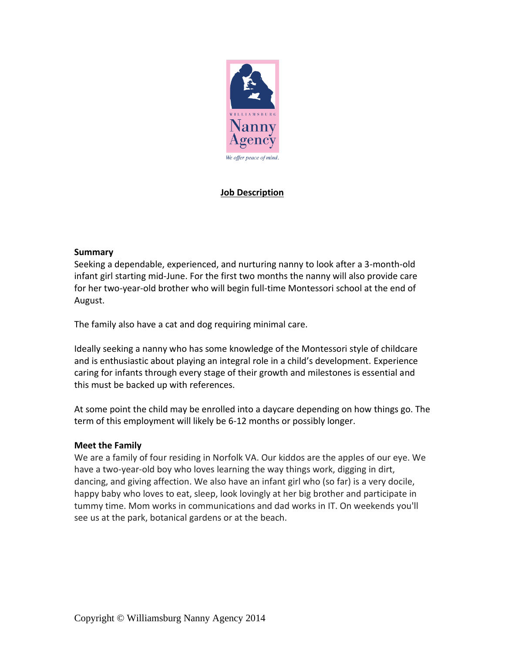

# **Job Description**

### **Summary**

Seeking a dependable, experienced, and nurturing nanny to look after a 3-month-old infant girl starting mid-June. For the first two months the nanny will also provide care for her two-year-old brother who will begin full-time Montessori school at the end of August.

The family also have a cat and dog requiring minimal care.

Ideally seeking a nanny who has some knowledge of the Montessori style of childcare and is enthusiastic about playing an integral role in a child's development. Experience caring for infants through every stage of their growth and milestones is essential and this must be backed up with references.

At some point the child may be enrolled into a daycare depending on how things go. The term of this employment will likely be 6-12 months or possibly longer.

# **Meet the Family**

We are a family of four residing in Norfolk VA. Our kiddos are the apples of our eye. We have a two-year-old boy who loves learning the way things work, digging in dirt, dancing, and giving affection. We also have an infant girl who (so far) is a very docile, happy baby who loves to eat, sleep, look lovingly at her big brother and participate in tummy time. Mom works in communications and dad works in IT. On weekends you'll see us at the park, botanical gardens or at the beach.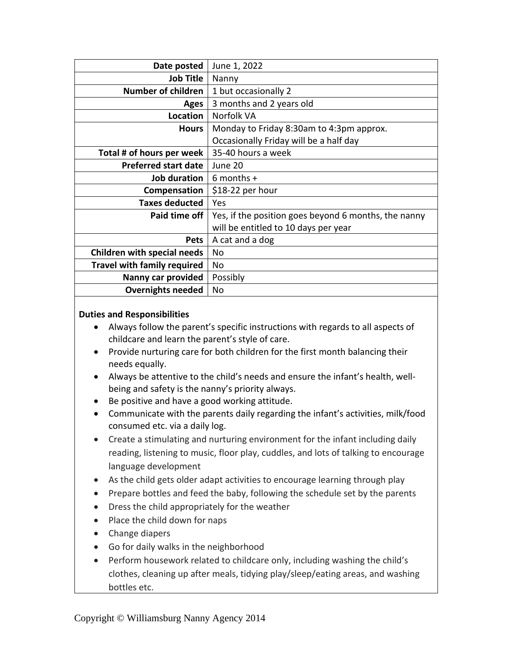| Date posted                        | June 1, 2022                                         |
|------------------------------------|------------------------------------------------------|
| <b>Job Title</b>                   | Nanny                                                |
| Number of children                 | 1 but occasionally 2                                 |
| <b>Ages</b>                        | 3 months and 2 years old                             |
| Location                           | Norfolk VA                                           |
| <b>Hours</b>                       | Monday to Friday 8:30am to 4:3pm approx.             |
|                                    | Occasionally Friday will be a half day               |
| Total # of hours per week          | 35-40 hours a week                                   |
| <b>Preferred start date</b>        | June 20                                              |
| Job duration                       | $6$ months +                                         |
| Compensation                       | \$18-22 per hour                                     |
| <b>Taxes deducted</b>              | Yes                                                  |
| Paid time off                      | Yes, if the position goes beyond 6 months, the nanny |
|                                    | will be entitled to 10 days per year                 |
| <b>Pets</b>                        | A cat and a dog                                      |
| <b>Children with special needs</b> | No                                                   |
| <b>Travel with family required</b> | No                                                   |
| Nanny car provided                 | Possibly                                             |
| <b>Overnights needed</b>           | No                                                   |

#### **Duties and Responsibilities**

- Always follow the parent's specific instructions with regards to all aspects of childcare and learn the parent's style of care.
- Provide nurturing care for both children for the first month balancing their needs equally.
- Always be attentive to the child's needs and ensure the infant's health, wellbeing and safety is the nanny's priority always.
- Be positive and have a good working attitude.
- Communicate with the parents daily regarding the infant's activities, milk/food consumed etc. via a daily log.
- Create a stimulating and nurturing environment for the infant including daily reading, listening to music, floor play, cuddles, and lots of talking to encourage language development
- As the child gets older adapt activities to encourage learning through play
- Prepare bottles and feed the baby, following the schedule set by the parents
- Dress the child appropriately for the weather
- Place the child down for naps
- Change diapers
- Go for daily walks in the neighborhood
- Perform housework related to childcare only, including washing the child's clothes, cleaning up after meals, tidying play/sleep/eating areas, and washing bottles etc.